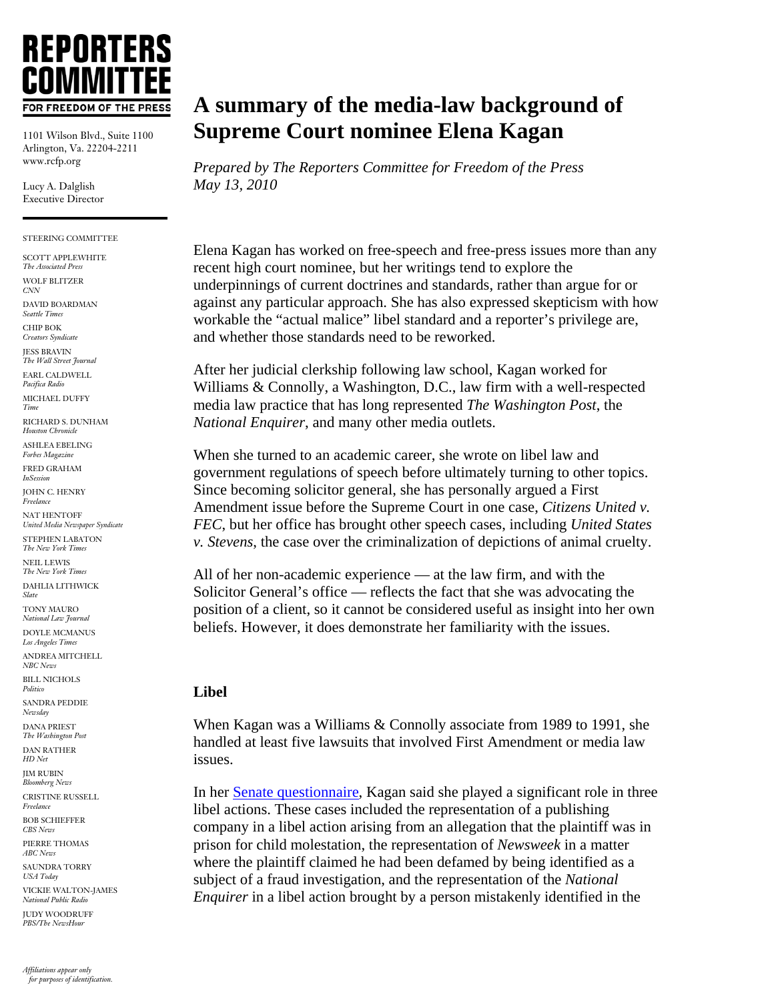# **REPORTERS** FOR FREEDOM OF THE PRESS

1101 Wilson Blvd., Suite 1100 Arlington, Va. 22204-2211 www.rcfp.org

Lucy A. Dalglish Executive Director

#### STEERING COMMITTEE

- SCOTT APPLEWHITE
- *The Associated Press*  WOLF BLITZER *CNN*

DAVID BOARDMAN *Seattle Times* 

CHIP BOK

*Creators Syndicate*  JESS BRAVIN

*The Wall Street Journal* 

EARL CALDWELL *Pacifica Radio* 

MICHAEL DUFFY *Time* 

RICHARD S. DUNHAM *Houston Chronicle* 

ASHLEA EBELING *Forbes Magazine*  FRED GRAHAM

*InSession* 

JOHN C. HENRY *Freelance* 

NAT HENTOFF *United Media Newspaper Syndicate* 

STEPHEN LABATON *The New York Times*  NEIL LEWIS *The New York Times* 

DAHLIA LITHWICK *Slate* 

TONY MAURO *National Law Journal* 

DOYLE MCMANUS *Los Angeles Times*

ANDREA MITCHELL *NBC News*

BILL NICHOLS *Politico* 

SANDRA PEDDIE *Newsday* 

DANA PRIEST *The Washington Post* 

DAN RATHER *HD Net* 

JIM RUBIN *Bloomberg News* 

CRISTINE RUSSELL *Freelance* 

BOB SCHIEFFER *CBS News* 

PIERRE THOMAS

*ABC News* SAUNDRA TORRY

*USA Today* 

VICKIE WALTON-JAMES *National Public Radio* 

JUDY WOODRUFF *PBS/The NewsHour* 

## **A summary of the media-law background of Supreme Court nominee Elena Kagan**

*Prepared by The Reporters Committee for Freedom of the Press May 13, 2010* 

Elena Kagan has worked on free-speech and free-press issues more than any recent high court nominee, but her writings tend to explore the underpinnings of current doctrines and standards, rather than argue for or against any particular approach. She has also expressed skepticism with how workable the "actual malice" libel standard and a reporter's privilege are, and whether those standards need to be reworked.

After her judicial clerkship following law school, Kagan worked for Williams & Connolly, a Washington, D.C., law firm with a well-respected media law practice that has long represented *The Washington Post*, the *National Enquirer*, and many other media outlets.

When she turned to an academic career, she wrote on libel law and government regulations of speech before ultimately turning to other topics. Since becoming solicitor general, she has personally argued a First Amendment issue before the Supreme Court in one case, *Citizens United v. FEC*, but her office has brought other speech cases, including *United States v. Stevens*, the case over the criminalization of depictions of animal cruelty.

All of her non-academic experience — at the law firm, and with the Solicitor General's office — reflects the fact that she was advocating the position of a client, so it cannot be considered useful as insight into her own beliefs. However, it does demonstrate her familiarity with the issues.

#### **Libel**

When Kagan was a Williams & Connolly associate from 1989 to 1991, she handled at least five lawsuits that involved First Amendment or media law issues.

In her [Senate questionnaire,](http://judiciary.senate.gov/nominations/111thCongressExecutiveNominations/SolicitorGeneral-ElenaKagan.cfm) Kagan said she played a significant role in three libel actions. These cases included the representation of a publishing company in a libel action arising from an allegation that the plaintiff was in prison for child molestation, the representation of *Newsweek* in a matter where the plaintiff claimed he had been defamed by being identified as a subject of a fraud investigation, and the representation of the *National Enquirer* in a libel action brought by a person mistakenly identified in the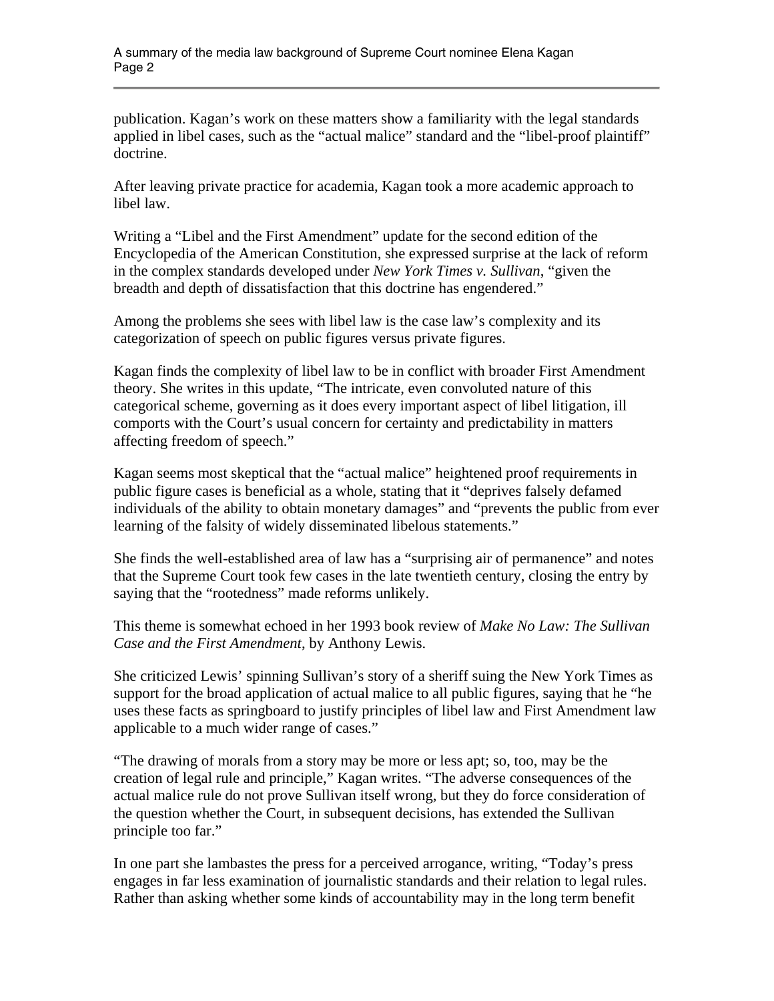publication. Kagan's work on these matters show a familiarity with the legal standards applied in libel cases, such as the "actual malice" standard and the "libel-proof plaintiff" doctrine.

After leaving private practice for academia, Kagan took a more academic approach to libel law.

Writing a "Libel and the First Amendment" update for the second edition of the Encyclopedia of the American Constitution, she expressed surprise at the lack of reform in the complex standards developed under *New York Times v. Sullivan*, "given the breadth and depth of dissatisfaction that this doctrine has engendered."

Among the problems she sees with libel law is the case law's complexity and its categorization of speech on public figures versus private figures.

Kagan finds the complexity of libel law to be in conflict with broader First Amendment theory. She writes in this update, "The intricate, even convoluted nature of this categorical scheme, governing as it does every important aspect of libel litigation, ill comports with the Court's usual concern for certainty and predictability in matters affecting freedom of speech."

Kagan seems most skeptical that the "actual malice" heightened proof requirements in public figure cases is beneficial as a whole, stating that it "deprives falsely defamed individuals of the ability to obtain monetary damages" and "prevents the public from ever learning of the falsity of widely disseminated libelous statements."

She finds the well-established area of law has a "surprising air of permanence" and notes that the Supreme Court took few cases in the late twentieth century, closing the entry by saying that the "rootedness" made reforms unlikely.

This theme is somewhat echoed in her 1993 book review of *Make No Law: The Sullivan Case and the First Amendment*, by Anthony Lewis.

She criticized Lewis' spinning Sullivan's story of a sheriff suing the New York Times as support for the broad application of actual malice to all public figures, saying that he "he uses these facts as springboard to justify principles of libel law and First Amendment law applicable to a much wider range of cases."

"The drawing of morals from a story may be more or less apt; so, too, may be the creation of legal rule and principle," Kagan writes. "The adverse consequences of the actual malice rule do not prove Sullivan itself wrong, but they do force consideration of the question whether the Court, in subsequent decisions, has extended the Sullivan principle too far."

In one part she lambastes the press for a perceived arrogance, writing, "Today's press engages in far less examination of journalistic standards and their relation to legal rules. Rather than asking whether some kinds of accountability may in the long term benefit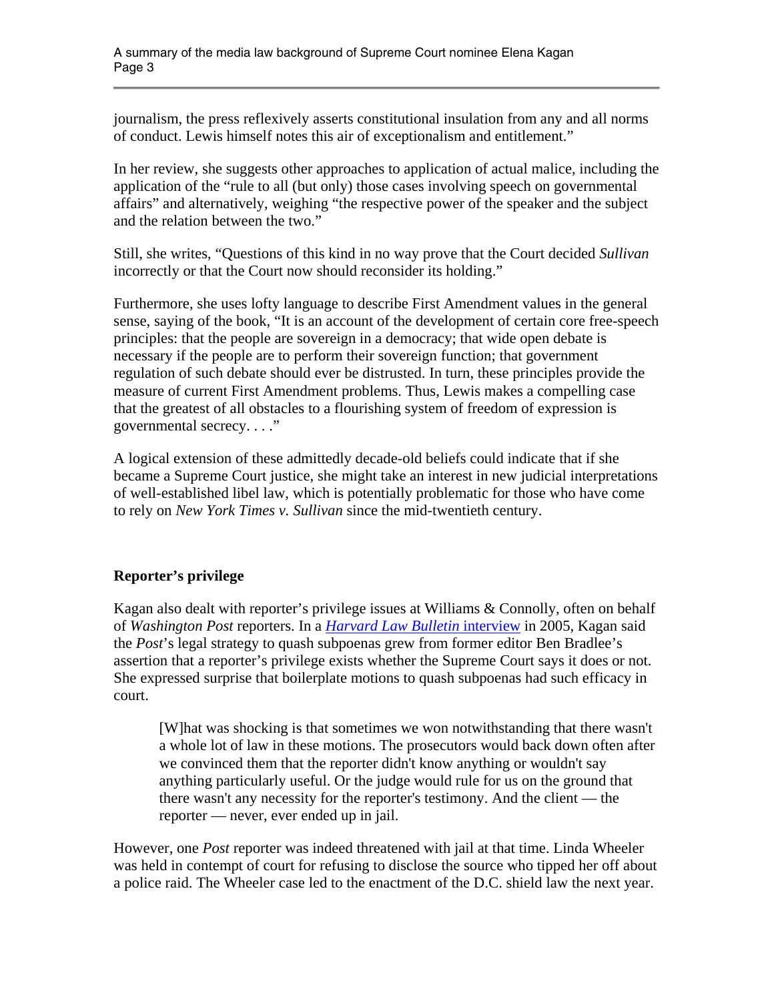journalism, the press reflexively asserts constitutional insulation from any and all norms of conduct. Lewis himself notes this air of exceptionalism and entitlement."

In her review, she suggests other approaches to application of actual malice, including the application of the "rule to all (but only) those cases involving speech on governmental affairs" and alternatively, weighing "the respective power of the speaker and the subject and the relation between the two."

Still, she writes, "Questions of this kind in no way prove that the Court decided *Sullivan* incorrectly or that the Court now should reconsider its holding."

Furthermore, she uses lofty language to describe First Amendment values in the general sense, saying of the book, "It is an account of the development of certain core free-speech principles: that the people are sovereign in a democracy; that wide open debate is necessary if the people are to perform their sovereign function; that government regulation of such debate should ever be distrusted. In turn, these principles provide the measure of current First Amendment problems. Thus, Lewis makes a compelling case that the greatest of all obstacles to a flourishing system of freedom of expression is governmental secrecy...."

A logical extension of these admittedly decade-old beliefs could indicate that if she became a Supreme Court justice, she might take an interest in new judicial interpretations of well-established libel law, which is potentially problematic for those who have come to rely on *New York Times v. Sullivan* since the mid-twentieth century.

### **Reporter's privilege**

Kagan also dealt with reporter's privilege issues at Williams & Connolly, often on behalf of *Washington Post* reporters. In a *[Harvard Law Bulletin](http://www.law.harvard.edu/news/bulletin/2005/spring/viewpoints_main.php)* interview in 2005, Kagan said the *Post*'s legal strategy to quash subpoenas grew from former editor Ben Bradlee's assertion that a reporter's privilege exists whether the Supreme Court says it does or not. She expressed surprise that boilerplate motions to quash subpoenas had such efficacy in court.

[W]hat was shocking is that sometimes we won notwithstanding that there wasn't a whole lot of law in these motions. The prosecutors would back down often after we convinced them that the reporter didn't know anything or wouldn't say anything particularly useful. Or the judge would rule for us on the ground that there wasn't any necessity for the reporter's testimony. And the client — the reporter — never, ever ended up in jail.

However, one *Post* reporter was indeed threatened with jail at that time. Linda Wheeler was held in contempt of court for refusing to disclose the source who tipped her off about a police raid. The Wheeler case led to the enactment of the D.C. shield law the next year.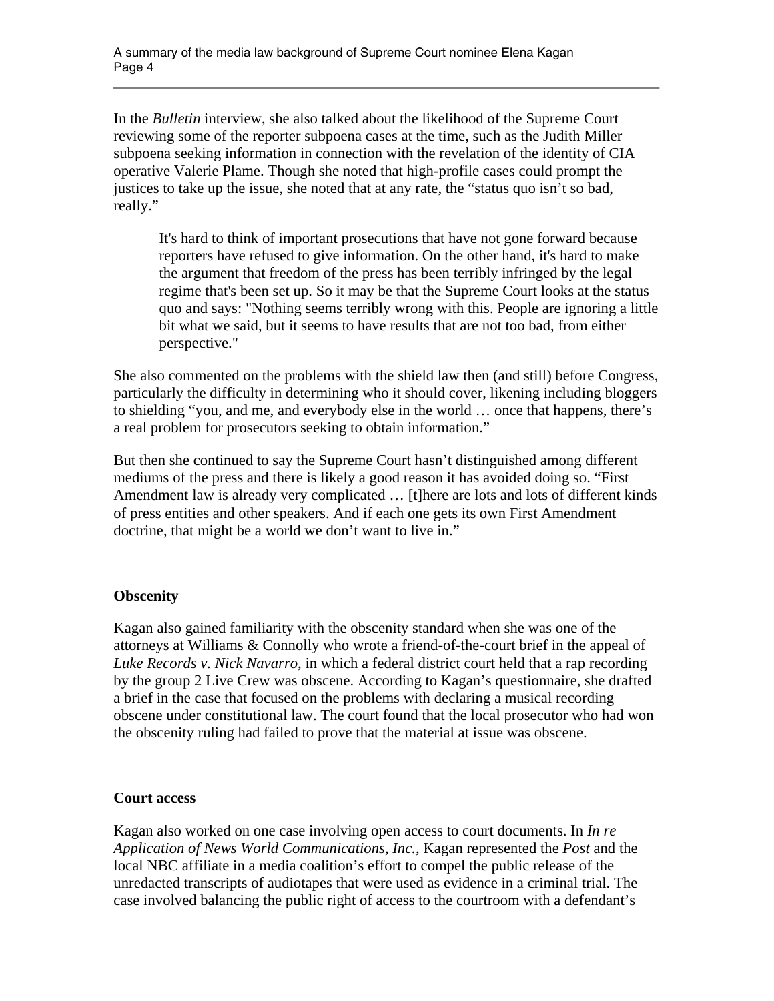In the *Bulletin* interview, she also talked about the likelihood of the Supreme Court reviewing some of the reporter subpoena cases at the time, such as the Judith Miller subpoena seeking information in connection with the revelation of the identity of CIA operative Valerie Plame. Though she noted that high-profile cases could prompt the justices to take up the issue, she noted that at any rate, the "status quo isn't so bad, really."

It's hard to think of important prosecutions that have not gone forward because reporters have refused to give information. On the other hand, it's hard to make the argument that freedom of the press has been terribly infringed by the legal regime that's been set up. So it may be that the Supreme Court looks at the status quo and says: "Nothing seems terribly wrong with this. People are ignoring a little bit what we said, but it seems to have results that are not too bad, from either perspective."

She also commented on the problems with the shield law then (and still) before Congress, particularly the difficulty in determining who it should cover, likening including bloggers to shielding "you, and me, and everybody else in the world … once that happens, there's a real problem for prosecutors seeking to obtain information."

But then she continued to say the Supreme Court hasn't distinguished among different mediums of the press and there is likely a good reason it has avoided doing so. "First Amendment law is already very complicated … [t]here are lots and lots of different kinds of press entities and other speakers. And if each one gets its own First Amendment doctrine, that might be a world we don't want to live in."

#### **Obscenity**

Kagan also gained familiarity with the obscenity standard when she was one of the attorneys at Williams & Connolly who wrote a friend-of-the-court brief in the appeal of *Luke Records v. Nick Navarro*, in which a federal district court held that a rap recording by the group 2 Live Crew was obscene. According to Kagan's questionnaire, she drafted a brief in the case that focused on the problems with declaring a musical recording obscene under constitutional law. The court found that the local prosecutor who had won the obscenity ruling had failed to prove that the material at issue was obscene.

#### **Court access**

Kagan also worked on one case involving open access to court documents. In *In re Application of News World Communications, Inc.*, Kagan represented the *Post* and the local NBC affiliate in a media coalition's effort to compel the public release of the unredacted transcripts of audiotapes that were used as evidence in a criminal trial. The case involved balancing the public right of access to the courtroom with a defendant's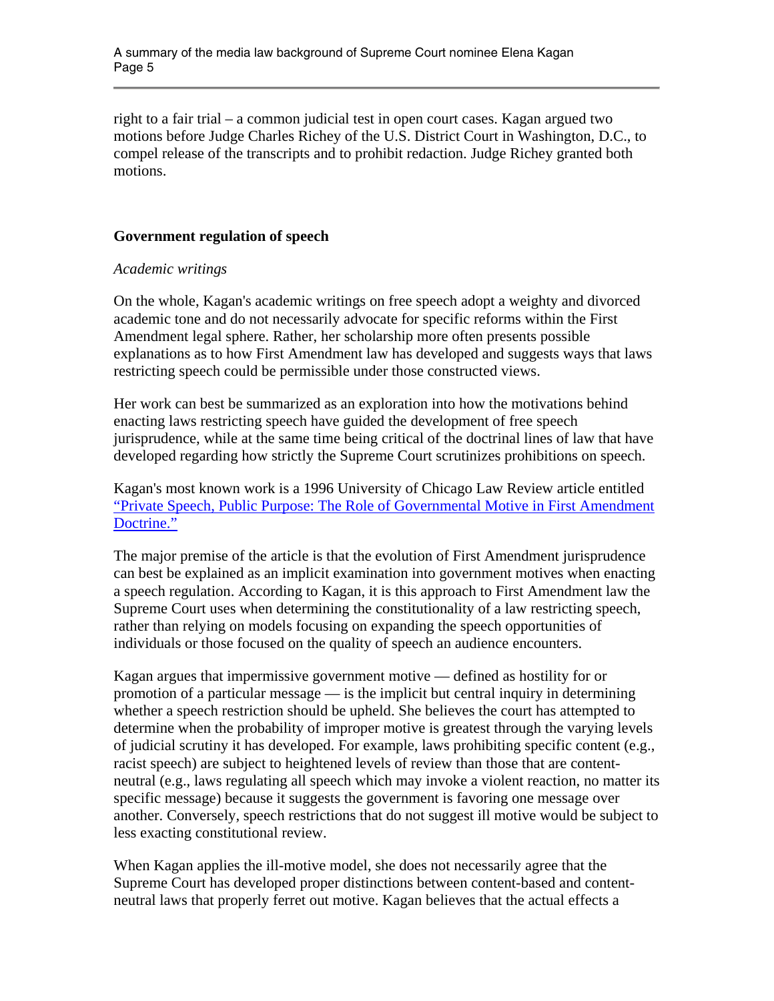right to a fair trial – a common judicial test in open court cases. Kagan argued two motions before Judge Charles Richey of the U.S. District Court in Washington, D.C., to compel release of the transcripts and to prohibit redaction. Judge Richey granted both motions.

#### **Government regulation of speech**

#### *Academic writings*

On the whole, Kagan's academic writings on free speech adopt a weighty and divorced academic tone and do not necessarily advocate for specific reforms within the First Amendment legal sphere. Rather, her scholarship more often presents possible explanations as to how First Amendment law has developed and suggests ways that laws restricting speech could be permissible under those constructed views.

Her work can best be summarized as an exploration into how the motivations behind enacting laws restricting speech have guided the development of free speech jurisprudence, while at the same time being critical of the doctrinal lines of law that have developed regarding how strictly the Supreme Court scrutinizes prohibitions on speech.

Kagan's most known work is a 1996 University of Chicago Law Review article entitled ["Private Speech, Public Purpose: The Role of Governmental Motive in First Amendment](http://judiciary.senate.gov/nominations/111thCongressExecutiveNominations/upload/KaganSG-Question13A-Part15.pdf)  [Doctrine."](http://judiciary.senate.gov/nominations/111thCongressExecutiveNominations/upload/KaganSG-Question13A-Part15.pdf)

The major premise of the article is that the evolution of First Amendment jurisprudence can best be explained as an implicit examination into government motives when enacting a speech regulation. According to Kagan, it is this approach to First Amendment law the Supreme Court uses when determining the constitutionality of a law restricting speech, rather than relying on models focusing on expanding the speech opportunities of individuals or those focused on the quality of speech an audience encounters.

Kagan argues that impermissive government motive — defined as hostility for or promotion of a particular message — is the implicit but central inquiry in determining whether a speech restriction should be upheld. She believes the court has attempted to determine when the probability of improper motive is greatest through the varying levels of judicial scrutiny it has developed. For example, laws prohibiting specific content (e.g., racist speech) are subject to heightened levels of review than those that are contentneutral (e.g., laws regulating all speech which may invoke a violent reaction, no matter its specific message) because it suggests the government is favoring one message over another. Conversely, speech restrictions that do not suggest ill motive would be subject to less exacting constitutional review.

When Kagan applies the ill-motive model, she does not necessarily agree that the Supreme Court has developed proper distinctions between content-based and contentneutral laws that properly ferret out motive. Kagan believes that the actual effects a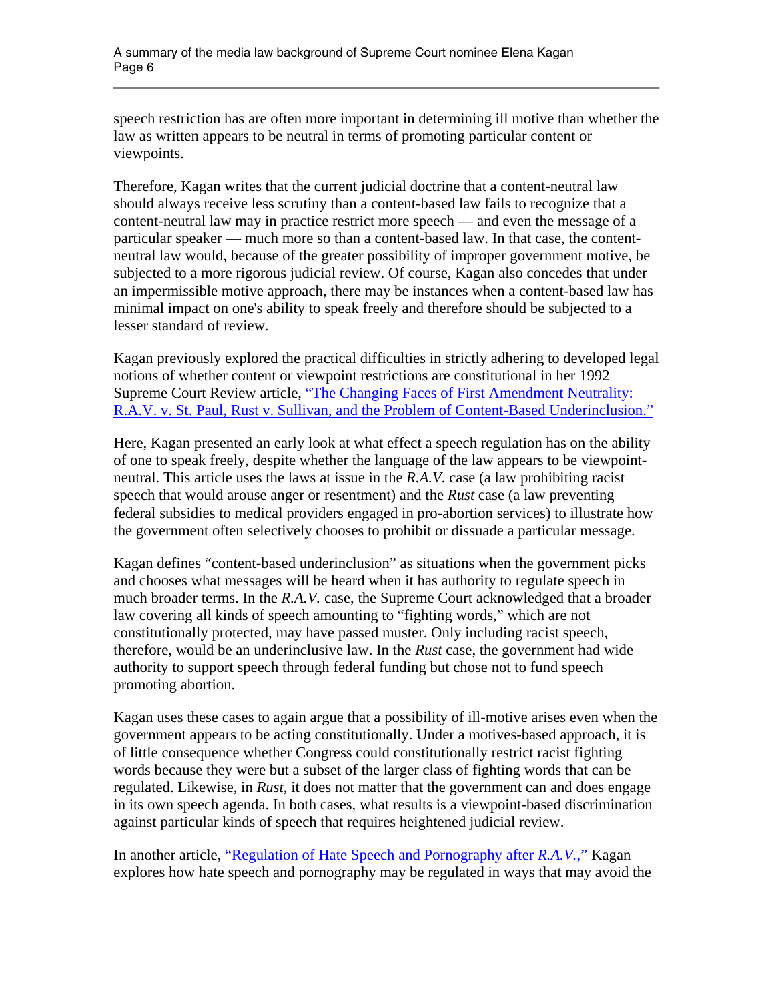speech restriction has are often more important in determining ill motive than whether the law as written appears to be neutral in terms of promoting particular content or viewpoints.

Therefore, Kagan writes that the current judicial doctrine that a content-neutral law should always receive less scrutiny than a content-based law fails to recognize that a content-neutral law may in practice restrict more speech — and even the message of a particular speaker — much more so than a content-based law. In that case, the contentneutral law would, because of the greater possibility of improper government motive, be subjected to a more rigorous judicial review. Of course, Kagan also concedes that under an impermissible motive approach, there may be instances when a content-based law has minimal impact on one's ability to speak freely and therefore should be subjected to a lesser standard of review.

Kagan previously explored the practical difficulties in strictly adhering to developed legal notions of whether content or viewpoint restrictions are constitutional in her 1992 Supreme Court Review article, "The Changing Faces of First Amendment Neutrality: [R.A.V. v. St. Paul, Rust v. Sullivan, and the Problem of Content-Based Underinclusion."](http://judiciary.senate.gov/nominations/111thCongressExecutiveNominations/upload/KaganSG-Question13A-Part14.pdf) 

Here, Kagan presented an early look at what effect a speech regulation has on the ability of one to speak freely, despite whether the language of the law appears to be viewpointneutral. This article uses the laws at issue in the *R.A.V.* case (a law prohibiting racist speech that would arouse anger or resentment) and the *Rust* case (a law preventing federal subsidies to medical providers engaged in pro-abortion services) to illustrate how the government often selectively chooses to prohibit or dissuade a particular message.

Kagan defines "content-based underinclusion" as situations when the government picks and chooses what messages will be heard when it has authority to regulate speech in much broader terms. In the *R.A.V.* case, the Supreme Court acknowledged that a broader law covering all kinds of speech amounting to "fighting words," which are not constitutionally protected, may have passed muster. Only including racist speech, therefore, would be an underinclusive law. In the *Rust* case, the government had wide authority to support speech through federal funding but chose not to fund speech promoting abortion.

Kagan uses these cases to again argue that a possibility of ill-motive arises even when the government appears to be acting constitutionally. Under a motives-based approach, it is of little consequence whether Congress could constitutionally restrict racist fighting words because they were but a subset of the larger class of fighting words that can be regulated. Likewise, in *Rust*, it does not matter that the government can and does engage in its own speech agenda. In both cases, what results is a viewpoint-based discrimination against particular kinds of speech that requires heightened judicial review.

In another article, ["Regulation of Hate Speech and Pornography after](http://judiciary.senate.gov/nominations/111thCongressExecutiveNominations/upload/KaganSG-Question13A-Part14.pdf) *R.A.V.*," Kagan explores how hate speech and pornography may be regulated in ways that may avoid the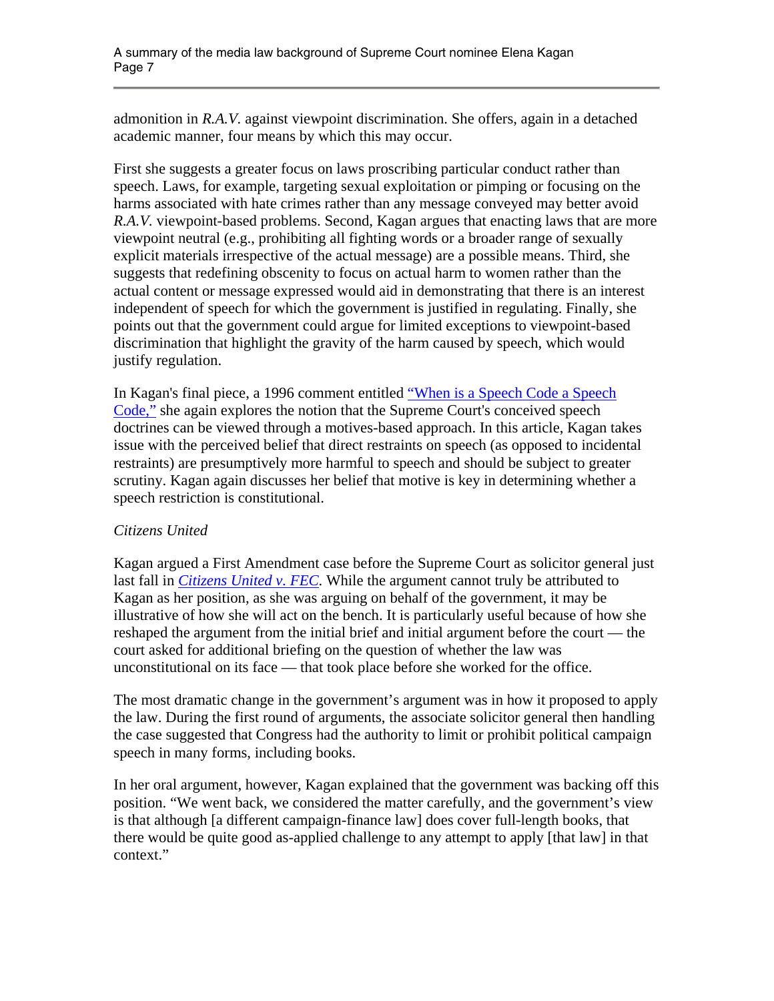admonition in *R.A.V.* against viewpoint discrimination. She offers, again in a detached academic manner, four means by which this may occur.

First she suggests a greater focus on laws proscribing particular conduct rather than speech. Laws, for example, targeting sexual exploitation or pimping or focusing on the harms associated with hate crimes rather than any message conveyed may better avoid *R.A.V.* viewpoint-based problems. Second, Kagan argues that enacting laws that are more viewpoint neutral (e.g., prohibiting all fighting words or a broader range of sexually explicit materials irrespective of the actual message) are a possible means. Third, she suggests that redefining obscenity to focus on actual harm to women rather than the actual content or message expressed would aid in demonstrating that there is an interest independent of speech for which the government is justified in regulating. Finally, she points out that the government could argue for limited exceptions to viewpoint-based discrimination that highlight the gravity of the harm caused by speech, which would justify regulation.

In Kagan's final piece, a 1996 comment entitled "When is a Speech Code a Speech [Code,"](http://judiciary.senate.gov/nominations/111thCongressExecutiveNominations/upload/KaganSG-Question13A-Part14.pdf) she again explores the notion that the Supreme Court's conceived speech doctrines can be viewed through a motives-based approach. In this article, Kagan takes issue with the perceived belief that direct restraints on speech (as opposed to incidental restraints) are presumptively more harmful to speech and should be subject to greater scrutiny. Kagan again discusses her belief that motive is key in determining whether a speech restriction is constitutional.

#### *Citizens United*

Kagan argued a First Amendment case before the Supreme Court as solicitor general just last fall in *[Citizens United v. FEC](http://www.scotuswiki.com/index.php?title=Citizens_United_v._Federal_Election_Commission)*. While the argument cannot truly be attributed to Kagan as her position, as she was arguing on behalf of the government, it may be illustrative of how she will act on the bench. It is particularly useful because of how she reshaped the argument from the initial brief and initial argument before the court — the court asked for additional briefing on the question of whether the law was unconstitutional on its face — that took place before she worked for the office.

The most dramatic change in the government's argument was in how it proposed to apply the law. During the first round of arguments, the associate solicitor general then handling the case suggested that Congress had the authority to limit or prohibit political campaign speech in many forms, including books.

In her oral argument, however, Kagan explained that the government was backing off this position. "We went back, we considered the matter carefully, and the government's view is that although [a different campaign-finance law] does cover full-length books, that there would be quite good as-applied challenge to any attempt to apply [that law] in that context."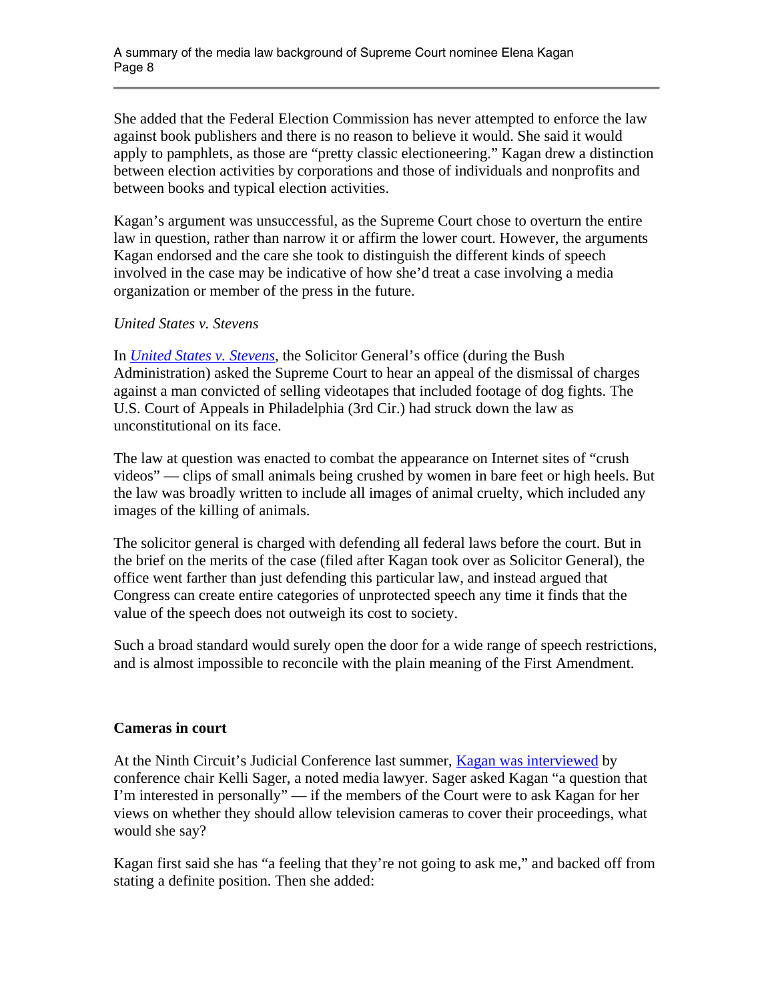She added that the Federal Election Commission has never attempted to enforce the law against book publishers and there is no reason to believe it would. She said it would apply to pamphlets, as those are "pretty classic electioneering." Kagan drew a distinction between election activities by corporations and those of individuals and nonprofits and between books and typical election activities.

Kagan's argument was unsuccessful, as the Supreme Court chose to overturn the entire law in question, rather than narrow it or affirm the lower court. However, the arguments Kagan endorsed and the care she took to distinguish the different kinds of speech involved in the case may be indicative of how she'd treat a case involving a media organization or member of the press in the future.

#### *United States v. Stevens*

In *[United States v. Stevens](http://www.scotuswiki.com/index.php?title=United_States_v._Stevens)*, the Solicitor General's office (during the Bush Administration) asked the Supreme Court to hear an appeal of the dismissal of charges against a man convicted of selling videotapes that included footage of dog fights. The U.S. Court of Appeals in Philadelphia (3rd Cir.) had struck down the law as unconstitutional on its face.

The law at question was enacted to combat the appearance on Internet sites of "crush videos" — clips of small animals being crushed by women in bare feet or high heels. But the law was broadly written to include all images of animal cruelty, which included any images of the killing of animals.

The solicitor general is charged with defending all federal laws before the court. But in the brief on the merits of the case (filed after Kagan took over as Solicitor General), the office went farther than just defending this particular law, and instead argued that Congress can create entire categories of unprotected speech any time it finds that the value of the speech does not outweigh its cost to society.

Such a broad standard would surely open the door for a wide range of speech restrictions, and is almost impossible to reconcile with the plain meaning of the First Amendment.

#### **Cameras in court**

At the Ninth Circuit's Judicial Conference last summer, [Kagan was interviewed](http://www.youtube.com/watch?v=L2Ng1GNICLk) by conference chair Kelli Sager, a noted media lawyer. Sager asked Kagan "a question that I'm interested in personally" — if the members of the Court were to ask Kagan for her views on whether they should allow television cameras to cover their proceedings, what would she say?

Kagan first said she has "a feeling that they're not going to ask me," and backed off from stating a definite position. Then she added: